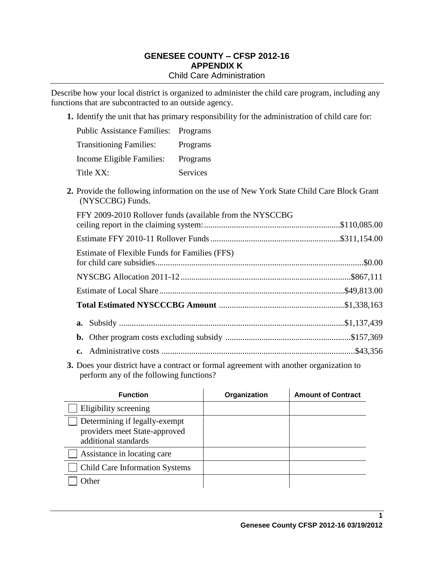## **GENESEE COUNTY – CFSP 2012-16 APPENDIX K** Child Care Administration

Describe how your local district is organized to administer the child care program, including any functions that are subcontracted to an outside agency.

**1.** Identify the unit that has primary responsibility for the administration of child care for:

| <b>Public Assistance Families: Programs</b> |          |
|---------------------------------------------|----------|
| <b>Transitioning Families:</b>              | Programs |
| Income Eligible Families:                   | Programs |
| Title XX:                                   | Services |

**2.** Provide the following information on the use of New York State Child Care Block Grant (NYSCCBG) Funds.

| FFY 2009-2010 Rollover funds (available from the NYSCCBG |  |  |  |
|----------------------------------------------------------|--|--|--|
|                                                          |  |  |  |
| Estimate of Flexible Funds for Families (FFS)            |  |  |  |
|                                                          |  |  |  |
|                                                          |  |  |  |
|                                                          |  |  |  |
|                                                          |  |  |  |
|                                                          |  |  |  |
|                                                          |  |  |  |

**3.** Does your district have a contract or formal agreement with another organization to perform any of the following functions?

| <b>Function</b>                                                                        | Organization | <b>Amount of Contract</b> |
|----------------------------------------------------------------------------------------|--------------|---------------------------|
| Eligibility screening                                                                  |              |                           |
| Determining if legally-exempt<br>providers meet State-approved<br>additional standards |              |                           |
| Assistance in locating care                                                            |              |                           |
| <b>Child Care Information Systems</b>                                                  |              |                           |
| <b>Other</b>                                                                           |              |                           |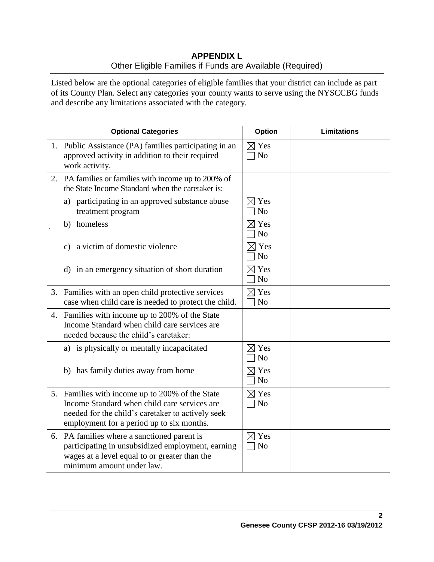## **APPENDIX L** Other Eligible Families if Funds are Available (Required)

Listed below are the optional categories of eligible families that your district can include as part of its County Plan. Select any categories your county wants to serve using the NYSCCBG funds and describe any limitations associated with the category.

| <b>Optional Categories</b>                                                                                                                                                                        | <b>Option</b>                     | <b>Limitations</b> |
|---------------------------------------------------------------------------------------------------------------------------------------------------------------------------------------------------|-----------------------------------|--------------------|
| 1. Public Assistance (PA) families participating in an<br>approved activity in addition to their required<br>work activity.                                                                       | $\boxtimes$ Yes<br>N <sub>o</sub> |                    |
| 2. PA families or families with income up to 200% of<br>the State Income Standard when the caretaker is:                                                                                          |                                   |                    |
| a) participating in an approved substance abuse<br>treatment program                                                                                                                              | $\boxtimes$ Yes<br>N <sub>o</sub> |                    |
| homeless<br>b)                                                                                                                                                                                    | $\boxtimes$ Yes<br>N <sub>o</sub> |                    |
| a victim of domestic violence<br>c)                                                                                                                                                               | $\times$ Yes<br>N <sub>o</sub>    |                    |
| d) in an emergency situation of short duration                                                                                                                                                    | $\boxtimes$ Yes<br>No             |                    |
| 3. Families with an open child protective services<br>case when child care is needed to protect the child.                                                                                        | $\boxtimes$ Yes<br>N <sub>o</sub> |                    |
| 4. Families with income up to 200% of the State<br>Income Standard when child care services are<br>needed because the child's caretaker:                                                          |                                   |                    |
| a) is physically or mentally incapacitated                                                                                                                                                        | $\boxtimes$ Yes<br>N <sub>o</sub> |                    |
| b) has family duties away from home                                                                                                                                                               | $\boxtimes$ Yes<br>N <sub>o</sub> |                    |
| 5. Families with income up to 200% of the State<br>Income Standard when child care services are<br>needed for the child's caretaker to actively seek<br>employment for a period up to six months. | $\boxtimes$ Yes<br>$\neg$ No      |                    |
| 6. PA families where a sanctioned parent is<br>participating in unsubsidized employment, earning<br>wages at a level equal to or greater than the<br>minimum amount under law.                    | $\boxtimes$ Yes<br>$\neg$ No      |                    |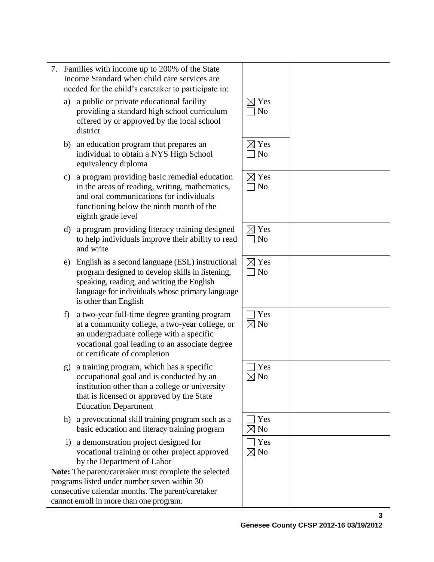|          | 7. Families with income up to 200% of the State<br>Income Standard when child care services are<br>needed for the child's caretaker to participate in:                                                                                                                            |                                                     |  |
|----------|-----------------------------------------------------------------------------------------------------------------------------------------------------------------------------------------------------------------------------------------------------------------------------------|-----------------------------------------------------|--|
|          | a) a public or private educational facility<br>providing a standard high school curriculum<br>offered by or approved by the local school<br>district                                                                                                                              | $\boxtimes$ Yes<br>N <sub>o</sub><br>$\blacksquare$ |  |
|          | b) an education program that prepares an<br>individual to obtain a NYS High School<br>equivalency diploma                                                                                                                                                                         | $\boxtimes$ Yes<br>N <sub>o</sub>                   |  |
| c)       | a program providing basic remedial education<br>in the areas of reading, writing, mathematics,<br>and oral communications for individuals<br>functioning below the ninth month of the<br>eighth grade level                                                                       | $\boxtimes$ Yes<br>$\neg$ No                        |  |
| d)       | a program providing literacy training designed<br>to help individuals improve their ability to read<br>and write                                                                                                                                                                  | $\boxtimes$ Yes<br>N <sub>o</sub><br>$\blacksquare$ |  |
| e)       | English as a second language (ESL) instructional<br>program designed to develop skills in listening,<br>speaking, reading, and writing the English<br>language for individuals whose primary language<br>is other than English                                                    | $\boxtimes$ Yes<br>N <sub>o</sub><br>$\Box$         |  |
| f)       | a two-year full-time degree granting program<br>at a community college, a two-year college, or<br>an undergraduate college with a specific<br>vocational goal leading to an associate degree<br>or certificate of completion                                                      | Yes<br>$\boxtimes$ No                               |  |
| g)       | a training program, which has a specific<br>occupational goal and is conducted by an<br>institution other than a college or university<br>that is licensed or approved by the State<br><b>Education Department</b>                                                                | Yes<br>$\boxtimes$ No                               |  |
|          | h) a prevocational skill training program such as a<br>basic education and literacy training program                                                                                                                                                                              | Yes<br>$\boxtimes$ No                               |  |
| $\rm i)$ | a demonstration project designed for<br>vocational training or other project approved<br>by the Department of Labor<br>Note: The parent/caretaker must complete the selected<br>programs listed under number seven within 30<br>consecutive calendar months. The parent/caretaker | Yes<br>$\boxtimes$ No                               |  |
|          | cannot enroll in more than one program.                                                                                                                                                                                                                                           |                                                     |  |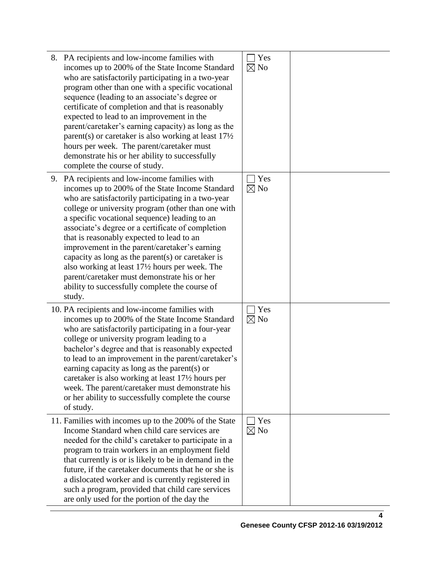| 8. PA recipients and low-income families with<br>incomes up to 200% of the State Income Standard<br>who are satisfactorily participating in a two-year<br>program other than one with a specific vocational<br>sequence (leading to an associate's degree or<br>certificate of completion and that is reasonably<br>expected to lead to an improvement in the<br>parent/caretaker's earning capacity) as long as the<br>parent(s) or caretaker is also working at least $17\frac{1}{2}$<br>hours per week. The parent/caretaker must<br>demonstrate his or her ability to successfully<br>complete the course of study.            | Yes<br>$\boxtimes$ No |  |
|------------------------------------------------------------------------------------------------------------------------------------------------------------------------------------------------------------------------------------------------------------------------------------------------------------------------------------------------------------------------------------------------------------------------------------------------------------------------------------------------------------------------------------------------------------------------------------------------------------------------------------|-----------------------|--|
| 9. PA recipients and low-income families with<br>incomes up to 200% of the State Income Standard<br>who are satisfactorily participating in a two-year<br>college or university program (other than one with<br>a specific vocational sequence) leading to an<br>associate's degree or a certificate of completion<br>that is reasonably expected to lead to an<br>improvement in the parent/caretaker's earning<br>capacity as long as the parent(s) or caretaker is<br>also working at least 17½ hours per week. The<br>parent/caretaker must demonstrate his or her<br>ability to successfully complete the course of<br>study. | Yes<br>$\boxtimes$ No |  |
| 10. PA recipients and low-income families with<br>incomes up to 200% of the State Income Standard<br>who are satisfactorily participating in a four-year<br>college or university program leading to a<br>bachelor's degree and that is reasonably expected<br>to lead to an improvement in the parent/caretaker's<br>earning capacity as long as the parent(s) or<br>caretaker is also working at least 17½ hours per<br>week. The parent/caretaker must demonstrate his<br>or her ability to successfully complete the course<br>of study.                                                                                       | Yes<br>$\boxtimes$ No |  |
| 11. Families with incomes up to the 200% of the State<br>Income Standard when child care services are<br>needed for the child's caretaker to participate in a<br>program to train workers in an employment field<br>that currently is or is likely to be in demand in the<br>future, if the caretaker documents that he or she is<br>a dislocated worker and is currently registered in<br>such a program, provided that child care services<br>are only used for the portion of the day the                                                                                                                                       | Yes<br>$\boxtimes$ No |  |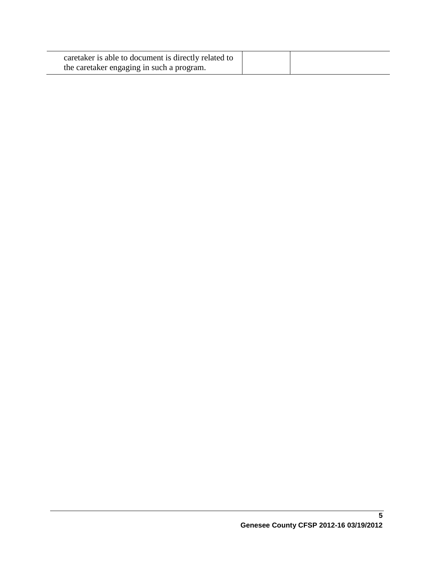| caretaker is able to document is directly related to |  |
|------------------------------------------------------|--|
| the caretaker engaging in such a program.            |  |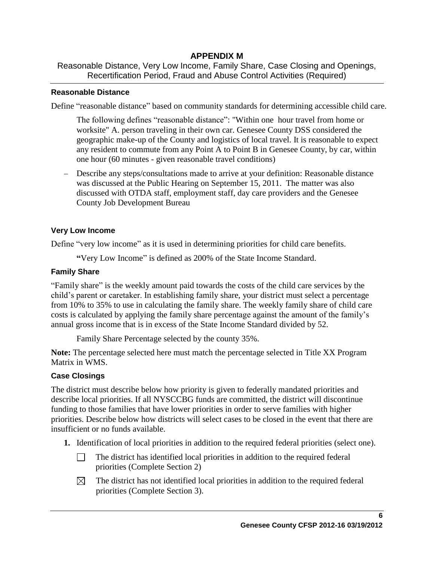# **APPENDIX M**

Reasonable Distance, Very Low Income, Family Share, Case Closing and Openings, Recertification Period, Fraud and Abuse Control Activities (Required)

### **Reasonable Distance**

Define "reasonable distance" based on community standards for determining accessible child care.

The following defines "reasonable distance": "Within one hour travel from home or worksite" A. person traveling in their own car. Genesee County DSS considered the geographic make-up of the County and logistics of local travel. It is reasonable to expect any resident to commute from any Point A to Point B in Genesee County, by car, within one hour (60 minutes - given reasonable travel conditions)

 Describe any steps/consultations made to arrive at your definition: Reasonable distance was discussed at the Public Hearing on September 15, 2011. The matter was also discussed with OTDA staff, employment staff, day care providers and the Genesee County Job Development Bureau

### **Very Low Income**

Define "very low income" as it is used in determining priorities for child care benefits.

**"**Very Low Income" is defined as 200% of the State Income Standard.

## **Family Share**

"Family share" is the weekly amount paid towards the costs of the child care services by the child's parent or caretaker. In establishing family share, your district must select a percentage from 10% to 35% to use in calculating the family share. The weekly family share of child care costs is calculated by applying the family share percentage against the amount of the family's annual gross income that is in excess of the State Income Standard divided by 52.

Family Share Percentage selected by the county 35%.

**Note:** The percentage selected here must match the percentage selected in Title XX Program Matrix in WMS.

## **Case Closings**

The district must describe below how priority is given to federally mandated priorities and describe local priorities. If all NYSCCBG funds are committed, the district will discontinue funding to those families that have lower priorities in order to serve families with higher priorities. Describe below how districts will select cases to be closed in the event that there are insufficient or no funds available.

- **1.** Identification of local priorities in addition to the required federal priorities (select one).
	- $\Box$ The district has identified local priorities in addition to the required federal priorities (Complete Section 2)
	- $\boxtimes$ The district has not identified local priorities in addition to the required federal priorities (Complete Section 3).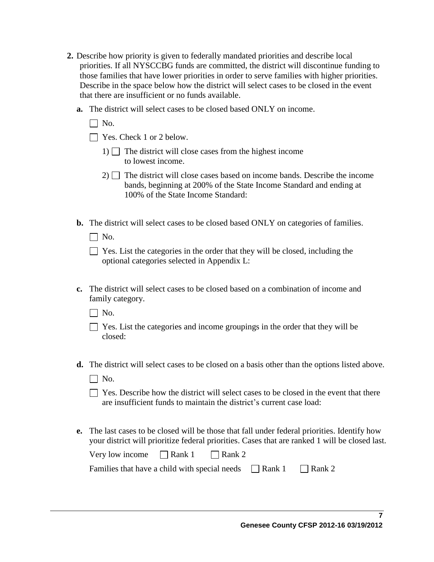- **2.** Describe how priority is given to federally mandated priorities and describe local priorities. If all NYSCCBG funds are committed, the district will discontinue funding to those families that have lower priorities in order to serve families with higher priorities. Describe in the space below how the district will select cases to be closed in the event that there are insufficient or no funds available.
	- **a.** The district will select cases to be closed based ONLY on income.
		- $\Box$  No.
		- $\Box$  Yes. Check 1 or 2 below.
			- 1)  $\Box$  The district will close cases from the highest income to lowest income.
			- $2)$  The district will close cases based on income bands. Describe the income bands, beginning at 200% of the State Income Standard and ending at 100% of the State Income Standard:
	- **b.** The district will select cases to be closed based ONLY on categories of families.
		- $\Box$  No.

| $\Box$ Yes. List the categories in the order that they will be closed, including the |
|--------------------------------------------------------------------------------------|
| optional categories selected in Appendix L:                                          |

- **c.** The district will select cases to be closed based on a combination of income and family category.
	- $\Box$  No.
	- $\Box$  Yes. List the categories and income groupings in the order that they will be closed:
- **d.** The district will select cases to be closed on a basis other than the options listed above.
	- $\Box$  No.
	- $\Box$  Yes. Describe how the district will select cases to be closed in the event that there are insufficient funds to maintain the district's current case load:
- **e.** The last cases to be closed will be those that fall under federal priorities. Identify how your district will prioritize federal priorities. Cases that are ranked 1 will be closed last.

| Very low income $\Box$ Rank 1 $\Box$ Rank 2                               |  |  |  |
|---------------------------------------------------------------------------|--|--|--|
| Families that have a child with special needs $\Box$ Rank 1 $\Box$ Rank 2 |  |  |  |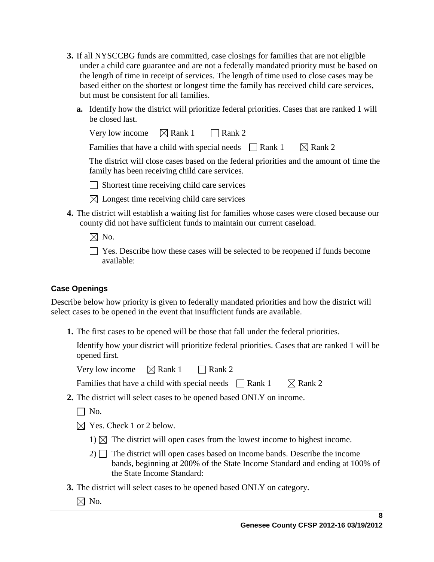- **3.** If all NYSCCBG funds are committed, case closings for families that are not eligible under a child care guarantee and are not a federally mandated priority must be based on the length of time in receipt of services. The length of time used to close cases may be based either on the shortest or longest time the family has received child care services, but must be consistent for all families.
	- **a.** Identify how the district will prioritize federal priorities. Cases that are ranked 1 will be closed last.

| Very low income $\boxtimes$ Rank 1 $\Box$ Rank 2            |  |                                                                                          |
|-------------------------------------------------------------|--|------------------------------------------------------------------------------------------|
| Families that have a child with special needs $\Box$ Rank 1 |  | $\boxtimes$ Rank 2                                                                       |
|                                                             |  | The district will close cases based on the federal priorities and the amount of time the |
| family has been receiving child care services.              |  |                                                                                          |

 $\Box$  Shortest time receiving child care services

- $\boxtimes$  Longest time receiving child care services
- **4.** The district will establish a waiting list for families whose cases were closed because our county did not have sufficient funds to maintain our current caseload.
	- $\boxtimes$  No.
	- Yes. Describe how these cases will be selected to be reopened if funds become available:

## **Case Openings**

Describe below how priority is given to federally mandated priorities and how the district will select cases to be opened in the event that insufficient funds are available.

**1.** The first cases to be opened will be those that fall under the federal priorities.

Identify how your district will prioritize federal priorities. Cases that are ranked 1 will be opened first.

Very low income  $\boxtimes$  Rank 1 Rank 2

Families that have a child with special needs  $\Box$  Rank 1  $\Box$  Rank 2

- **2.** The district will select cases to be opened based ONLY on income.
	- $\Box$  No.
	- $\boxtimes$  Yes. Check 1 or 2 below.
		- 1)  $\boxtimes$  The district will open cases from the lowest income to highest income.
		- $2)$  The district will open cases based on income bands. Describe the income bands, beginning at 200% of the State Income Standard and ending at 100% of the State Income Standard:
- **3.** The district will select cases to be opened based ONLY on category.
	- $\boxtimes$  No.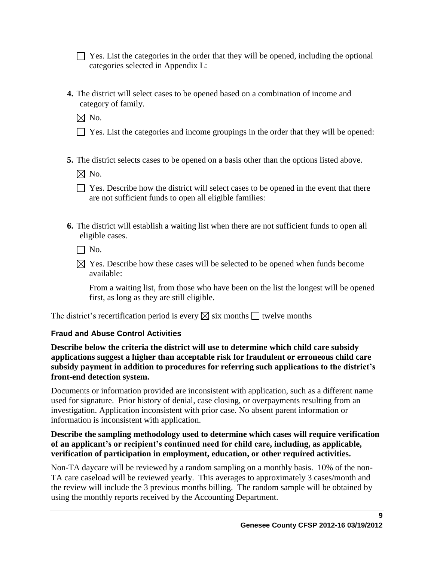$\Box$  Yes. List the categories in the order that they will be opened, including the optional categories selected in Appendix L:

**4.** The district will select cases to be opened based on a combination of income and category of family.

 $\boxtimes$  No.

- $\Box$  Yes. List the categories and income groupings in the order that they will be opened:
- **5.** The district selects cases to be opened on a basis other than the options listed above.

 $\boxtimes$  No.

- $\Box$  Yes. Describe how the district will select cases to be opened in the event that there are not sufficient funds to open all eligible families:
- **6.** The district will establish a waiting list when there are not sufficient funds to open all eligible cases.

 $\Box$  No.

 $\boxtimes$  Yes. Describe how these cases will be selected to be opened when funds become available:

From a waiting list, from those who have been on the list the longest will be opened first, as long as they are still eligible.

The district's recertification period is every  $\boxtimes$  six months  $\Box$  twelve months

# **Fraud and Abuse Control Activities**

**Describe below the criteria the district will use to determine which child care subsidy applications suggest a higher than acceptable risk for fraudulent or erroneous child care subsidy payment in addition to procedures for referring such applications to the district's front-end detection system.**

Documents or information provided are inconsistent with application, such as a different name used for signature. Prior history of denial, case closing, or overpayments resulting from an investigation. Application inconsistent with prior case. No absent parent information or information is inconsistent with application.

## **Describe the sampling methodology used to determine which cases will require verification of an applicant's or recipient's continued need for child care, including, as applicable, verification of participation in employment, education, or other required activities.**

Non-TA daycare will be reviewed by a random sampling on a monthly basis. 10% of the non-TA care caseload will be reviewed yearly. This averages to approximately 3 cases/month and the review will include the 3 previous months billing. The random sample will be obtained by using the monthly reports received by the Accounting Department.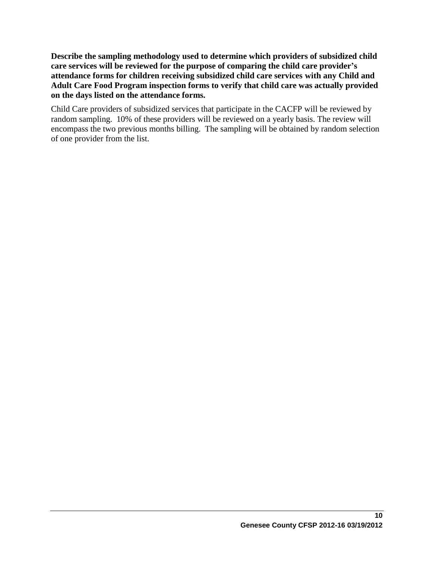**Describe the sampling methodology used to determine which providers of subsidized child care services will be reviewed for the purpose of comparing the child care provider's attendance forms for children receiving subsidized child care services with any Child and Adult Care Food Program inspection forms to verify that child care was actually provided on the days listed on the attendance forms.** 

Child Care providers of subsidized services that participate in the CACFP will be reviewed by random sampling. 10% of these providers will be reviewed on a yearly basis. The review will encompass the two previous months billing. The sampling will be obtained by random selection of one provider from the list.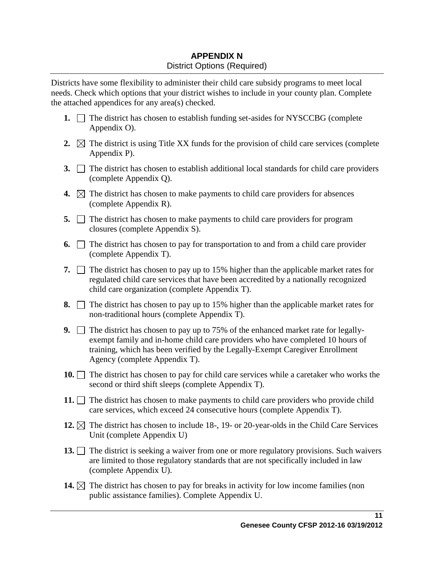# **APPENDIX N** District Options (Required)

Districts have some flexibility to administer their child care subsidy programs to meet local needs. Check which options that your district wishes to include in your county plan. Complete the attached appendices for any area(s) checked.

- **1.**  $\Box$  The district has chosen to establish funding set-asides for NYSCCBG (complete Appendix O).
- **2.**  $\boxtimes$  The district is using Title XX funds for the provision of child care services (complete Appendix P).
- **3.** The district has chosen to establish additional local standards for child care providers (complete Appendix Q).
- **4.**  $\boxtimes$  The district has chosen to make payments to child care providers for absences (complete Appendix R).
- **5.** The district has chosen to make payments to child care providers for program closures (complete Appendix S).
- **6.**  $\Box$  The district has chosen to pay for transportation to and from a child care provider (complete Appendix T).
- **7.**  $\Box$  The district has chosen to pay up to 15% higher than the applicable market rates for regulated child care services that have been accredited by a nationally recognized child care organization (complete Appendix T).
- **8.**  $\Box$  The district has chosen to pay up to 15% higher than the applicable market rates for non-traditional hours (complete Appendix T).
- **9.** The district has chosen to pay up to 75% of the enhanced market rate for legallyexempt family and in-home child care providers who have completed 10 hours of training, which has been verified by the Legally-Exempt Caregiver Enrollment Agency (complete Appendix T).
- **10.** The district has chosen to pay for child care services while a caretaker who works the second or third shift sleeps (complete Appendix T).
- **11.**  $\Box$  The district has chosen to make payments to child care providers who provide child care services, which exceed 24 consecutive hours (complete Appendix T).
- **12.**  $\boxtimes$  The district has chosen to include 18-, 19- or 20-year-olds in the Child Care Services Unit (complete Appendix U)
- 13. The district is seeking a waiver from one or more regulatory provisions. Such waivers are limited to those regulatory standards that are not specifically included in law (complete Appendix U).
- **14.**  $\boxtimes$  The district has chosen to pay for breaks in activity for low income families (non public assistance families). Complete Appendix U.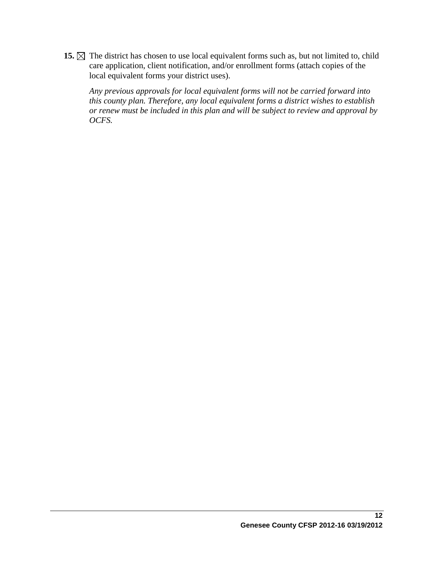15.  $\boxtimes$  The district has chosen to use local equivalent forms such as, but not limited to, child care application, client notification, and/or enrollment forms (attach copies of the local equivalent forms your district uses).

*Any previous approvals for local equivalent forms will not be carried forward into this county plan. Therefore, any local equivalent forms a district wishes to establish or renew must be included in this plan and will be subject to review and approval by OCFS.*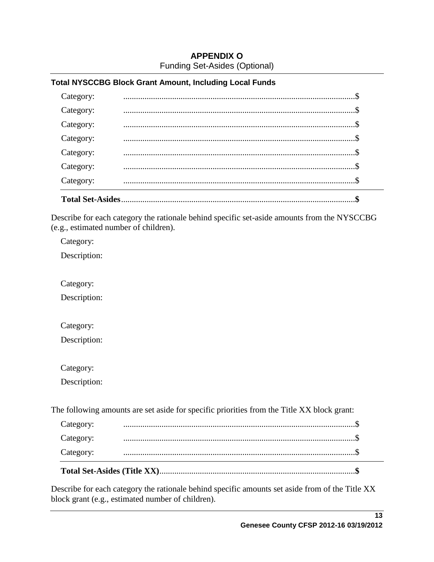## **APPENDIX O** Funding Set-Asides (Optional)

### **Total NYSCCBG Block Grant Amount, Including Local Funds**

| <b>Total Set-Asides</b> |  |
|-------------------------|--|
| Category:               |  |
| Category:               |  |
| Category:               |  |
| Category:               |  |
| Category:               |  |
| Category:               |  |
| Category:               |  |
|                         |  |

Describe for each category the rationale behind specific set-aside amounts from the NYSCCBG (e.g., estimated number of children).

Category:

Description:

Category:

Description:

Category:

Description:

Category:

Description:

The following amounts are set aside for specific priorities from the Title XX block grant:

| Category: |  |
|-----------|--|
| Category: |  |
| Category: |  |

Describe for each category the rationale behind specific amounts set aside from of the Title XX block grant (e.g., estimated number of children).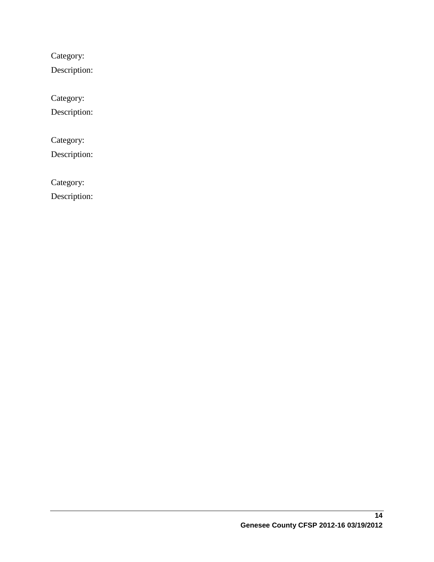Category:

Description:

Category:

Description:

Category:

Description:

Category:

Description: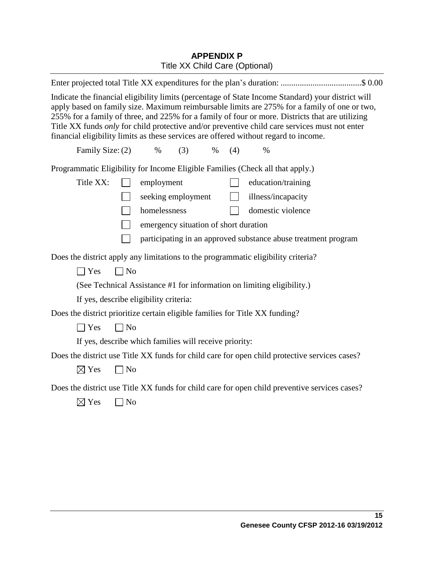# **APPENDIX P** Title XX Child Care (Optional)

| Enter projected total Title XX expenditures for the plan's duration: \$ 0.00                                                                                                                                                                                                                                                                                                                                                                                                                   |  |  |
|------------------------------------------------------------------------------------------------------------------------------------------------------------------------------------------------------------------------------------------------------------------------------------------------------------------------------------------------------------------------------------------------------------------------------------------------------------------------------------------------|--|--|
| Indicate the financial eligibility limits (percentage of State Income Standard) your district will<br>apply based on family size. Maximum reimbursable limits are 275% for a family of one or two,<br>255% for a family of three, and 225% for a family of four or more. Districts that are utilizing<br>Title XX funds only for child protective and/or preventive child care services must not enter<br>financial eligibility limits as these services are offered without regard to income. |  |  |
| Family Size: (2)<br>$\%$<br>(3)<br>$\%$<br>(4)<br>$\%$                                                                                                                                                                                                                                                                                                                                                                                                                                         |  |  |
| Programmatic Eligibility for Income Eligible Families (Check all that apply.)                                                                                                                                                                                                                                                                                                                                                                                                                  |  |  |
| Title XX:<br>employment<br>education/training<br>$\Box$                                                                                                                                                                                                                                                                                                                                                                                                                                        |  |  |
| illness/incapacity<br>seeking employment<br>$\mathbf{L}$                                                                                                                                                                                                                                                                                                                                                                                                                                       |  |  |
| homelessness<br>domestic violence                                                                                                                                                                                                                                                                                                                                                                                                                                                              |  |  |
| emergency situation of short duration                                                                                                                                                                                                                                                                                                                                                                                                                                                          |  |  |
| participating in an approved substance abuse treatment program                                                                                                                                                                                                                                                                                                                                                                                                                                 |  |  |
| Does the district apply any limitations to the programmatic eligibility criteria?                                                                                                                                                                                                                                                                                                                                                                                                              |  |  |
| $\Box$ Yes<br>$\Box$ No                                                                                                                                                                                                                                                                                                                                                                                                                                                                        |  |  |
| (See Technical Assistance #1 for information on limiting eligibility.)                                                                                                                                                                                                                                                                                                                                                                                                                         |  |  |
| If yes, describe eligibility criteria:                                                                                                                                                                                                                                                                                                                                                                                                                                                         |  |  |
| Does the district prioritize certain eligible families for Title XX funding?                                                                                                                                                                                                                                                                                                                                                                                                                   |  |  |
| $\exists$ Yes<br>$\Box$ No                                                                                                                                                                                                                                                                                                                                                                                                                                                                     |  |  |
| If yes, describe which families will receive priority:                                                                                                                                                                                                                                                                                                                                                                                                                                         |  |  |
| Does the district use Title XX funds for child care for open child protective services cases?                                                                                                                                                                                                                                                                                                                                                                                                  |  |  |
| $\boxtimes$ Yes<br>$\neg$ No                                                                                                                                                                                                                                                                                                                                                                                                                                                                   |  |  |
| Does the district use Title XX funds for child care for open child preventive services cases?                                                                                                                                                                                                                                                                                                                                                                                                  |  |  |
| $\boxtimes$ Yes<br>] No                                                                                                                                                                                                                                                                                                                                                                                                                                                                        |  |  |
|                                                                                                                                                                                                                                                                                                                                                                                                                                                                                                |  |  |
|                                                                                                                                                                                                                                                                                                                                                                                                                                                                                                |  |  |
|                                                                                                                                                                                                                                                                                                                                                                                                                                                                                                |  |  |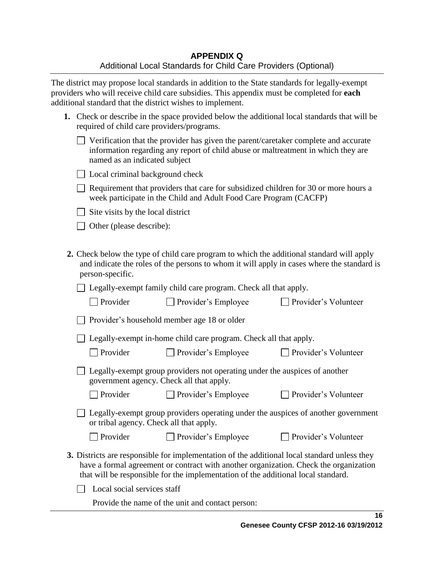The district may propose local standards in addition to the State standards for legally-exempt providers who will receive child care subsidies. This appendix must be completed for **each** additional standard that the district wishes to implement.

| 1. Check or describe in the space provided below the additional local standards that will be |
|----------------------------------------------------------------------------------------------|
| required of child care providers/programs.                                                   |

| $\Box$ Verification that the provider has given the parent/caretaker complete and accurate |
|--------------------------------------------------------------------------------------------|
| information regarding any report of child abuse or maltreatment in which they are          |
| named as an indicated subject                                                              |

 $\Box$  Local criminal background check

 $\Box$  Requirement that providers that care for subsidized children for 30 or more hours a week participate in the Child and Adult Food Care Program (CACFP)

 $\Box$  Site visits by the local district

□ Other (please describe):

**2.** Check below the type of child care program to which the additional standard will apply and indicate the roles of the persons to whom it will apply in cases where the standard is person-specific.

 $\Box$  Legally-exempt family child care program. Check all that apply.

| $\Box$ Provider | $\Box$ Provider's Employee | □ Provider's Volunteer |
|-----------------|----------------------------|------------------------|
|                 |                            |                        |

| $\Box$ Provider's household member age 18 or older |  |
|----------------------------------------------------|--|
|----------------------------------------------------|--|

□ Legally-exempt in-home child care program. Check all that apply.

□ Provider Provider's Employee Provider's Volunteer

| $\Box$ Legally-exempt group providers not operating under the auspices of another |
|-----------------------------------------------------------------------------------|
| government agency. Check all that apply.                                          |

□ Provider Provider's Employee Provider's Volunteer

| $\Box$ Legally-exempt group providers operating under the auspices of another government |  |
|------------------------------------------------------------------------------------------|--|
| or tribal agency. Check all that apply.                                                  |  |

□ Provider Provider's Employee Provider's Volunteer

- 
- **3.** Districts are responsible for implementation of the additional local standard unless they have a formal agreement or contract with another organization. Check the organization that will be responsible for the implementation of the additional local standard.

 $\Box$  Local social services staff

Provide the name of the unit and contact person: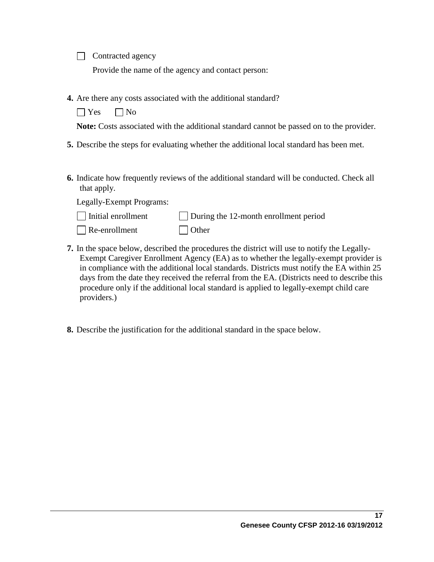Contracted agency

Provide the name of the agency and contact person:

**4.** Are there any costs associated with the additional standard?

 $\bigcap$  Yes  $\bigcap$  No

**Note:** Costs associated with the additional standard cannot be passed on to the provider.

- **5.** Describe the steps for evaluating whether the additional local standard has been met.
- **6.** Indicate how frequently reviews of the additional standard will be conducted. Check all that apply.

Legally-Exempt Programs:

providers.)

| $\Box$ Initial enrollment | During the 12-month enrollment period |
|---------------------------|---------------------------------------|
| $\Box$ Re-enrollment      | $\Box$ Other                          |

- **7.** In the space below, described the procedures the district will use to notify the Legally-Exempt Caregiver Enrollment Agency (EA) as to whether the legally-exempt provider is in compliance with the additional local standards. Districts must notify the EA within 25 days from the date they received the referral from the EA. (Districts need to describe this procedure only if the additional local standard is applied to legally-exempt child care
	- **8.** Describe the justification for the additional standard in the space below.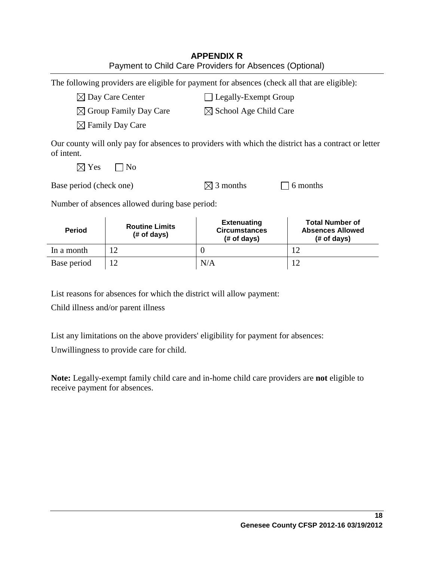| <b>APPENDIX R</b>                                       |
|---------------------------------------------------------|
| Payment to Child Care Providers for Absences (Optional) |

The following providers are eligible for payment for absences (check all that are eligible):

 $\boxtimes$  Day Care Center  $\Box$  Legally-Exempt Group

 $\boxtimes$  Group Family Day Care  $\boxtimes$  School Age Child Care

 $\boxtimes$  Family Day Care

Our county will only pay for absences to providers with which the district has a contract or letter of intent.

 $\boxtimes$  Yes  $\Box$  No

| Base period (check one) | $\boxtimes$ 3 months | $\Box$ 6 months |
|-------------------------|----------------------|-----------------|

Number of absences allowed during base period:

| <b>Period</b> | <b>Routine Limits</b><br>$#$ of days) | <b>Extenuating</b><br><b>Circumstances</b><br>$#$ of days) | <b>Total Number of</b><br><b>Absences Allowed</b><br>$#$ of days) |
|---------------|---------------------------------------|------------------------------------------------------------|-------------------------------------------------------------------|
| In a month    |                                       |                                                            |                                                                   |
| Base period   |                                       | N/A                                                        |                                                                   |

List reasons for absences for which the district will allow payment:

Child illness and/or parent illness

List any limitations on the above providers' eligibility for payment for absences:

Unwillingness to provide care for child.

**Note:** Legally-exempt family child care and in-home child care providers are **not** eligible to receive payment for absences.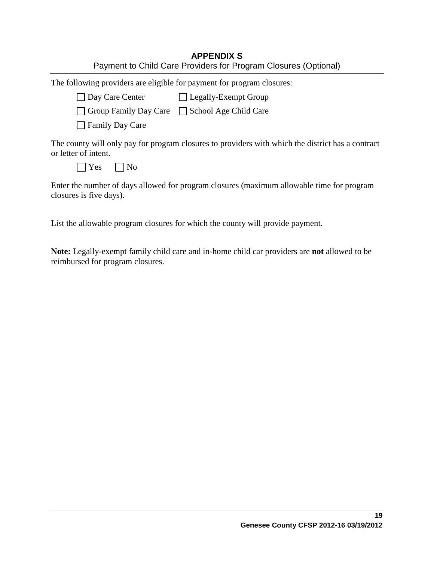| <b>APPENDIX S</b>                                               |
|-----------------------------------------------------------------|
| Payment to Child Care Providers for Program Closures (Optional) |

The following providers are eligible for payment for program closures:  $\Box$  Day Care Center  $\Box$  Legally-Exempt Group  $\Box$  Group Family Day Care  $\Box$  School Age Child Care **□ Family Day Care** The county will only pay for program closures to providers with which the district has a contract or letter of intent.  $\bigcap$  Yes  $\bigcap$  No

Enter the number of days allowed for program closures (maximum allowable time for program closures is five days).

List the allowable program closures for which the county will provide payment.

**Note:** Legally-exempt family child care and in-home child car providers are **not** allowed to be reimbursed for program closures.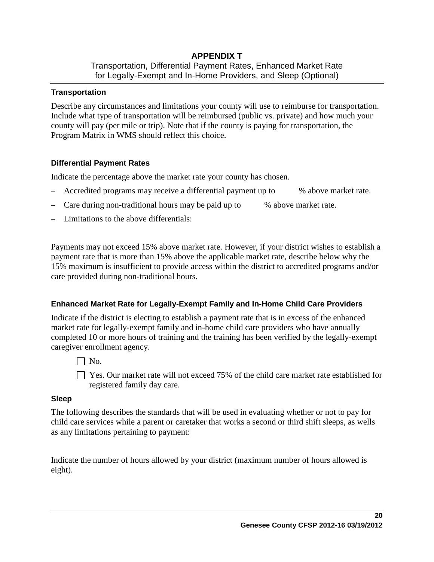## **APPENDIX T** Transportation, Differential Payment Rates, Enhanced Market Rate for Legally-Exempt and In-Home Providers, and Sleep (Optional)

## **Transportation**

Describe any circumstances and limitations your county will use to reimburse for transportation. Include what type of transportation will be reimbursed (public vs. private) and how much your county will pay (per mile or trip). Note that if the county is paying for transportation, the Program Matrix in WMS should reflect this choice.

## **Differential Payment Rates**

Indicate the percentage above the market rate your county has chosen.

- Accredited programs may receive a differential payment up to % above market rate.
- Care during non-traditional hours may be paid up to % above market rate.
- Limitations to the above differentials:

Payments may not exceed 15% above market rate. However, if your district wishes to establish a payment rate that is more than 15% above the applicable market rate, describe below why the 15% maximum is insufficient to provide access within the district to accredited programs and/or care provided during non-traditional hours.

## **Enhanced Market Rate for Legally-Exempt Family and In-Home Child Care Providers**

Indicate if the district is electing to establish a payment rate that is in excess of the enhanced market rate for legally-exempt family and in-home child care providers who have annually completed 10 or more hours of training and the training has been verified by the legally-exempt caregiver enrollment agency.

 $\Box$  No.

 $\Box$  Yes. Our market rate will not exceed 75% of the child care market rate established for registered family day care.

#### **Sleep**

The following describes the standards that will be used in evaluating whether or not to pay for child care services while a parent or caretaker that works a second or third shift sleeps, as wells as any limitations pertaining to payment:

Indicate the number of hours allowed by your district (maximum number of hours allowed is eight).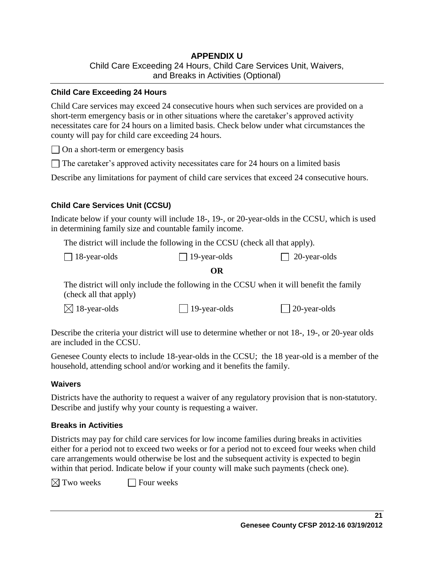## **APPENDIX U** Child Care Exceeding 24 Hours, Child Care Services Unit, Waivers, and Breaks in Activities (Optional)

### **Child Care Exceeding 24 Hours**

Child Care services may exceed 24 consecutive hours when such services are provided on a short-term emergency basis or in other situations where the caretaker's approved activity necessitates care for 24 hours on a limited basis. Check below under what circumstances the county will pay for child care exceeding 24 hours.

 $\Box$  On a short-term or emergency basis

 $\Box$  The caretaker's approved activity necessitates care for 24 hours on a limited basis

Describe any limitations for payment of child care services that exceed 24 consecutive hours.

## **Child Care Services Unit (CCSU)**

Indicate below if your county will include 18-, 19-, or 20-year-olds in the CCSU, which is used in determining family size and countable family income.

The district will include the following in the CCSU (check all that apply).

| $\Box$ 18-year-olds | $\Box$ 20-year-olds<br>$\Box$ 19-year-olds |
|---------------------|--------------------------------------------|
|---------------------|--------------------------------------------|

### **OR**

The district will only include the following in the CCSU when it will benefit the family (check all that apply)

 $\boxtimes$  18-year-olds 19-year-olds 20-year-olds

Describe the criteria your district will use to determine whether or not 18-, 19-, or 20-year olds are included in the CCSU.

Genesee County elects to include 18-year-olds in the CCSU; the 18 year-old is a member of the household, attending school and/or working and it benefits the family.

#### **Waivers**

Districts have the authority to request a waiver of any regulatory provision that is non-statutory. Describe and justify why your county is requesting a waiver.

## **Breaks in Activities**

Districts may pay for child care services for low income families during breaks in activities either for a period not to exceed two weeks or for a period not to exceed four weeks when child care arrangements would otherwise be lost and the subsequent activity is expected to begin within that period. Indicate below if your county will make such payments (check one).

 $\boxtimes$  Two weeks  $\Box$  Four weeks